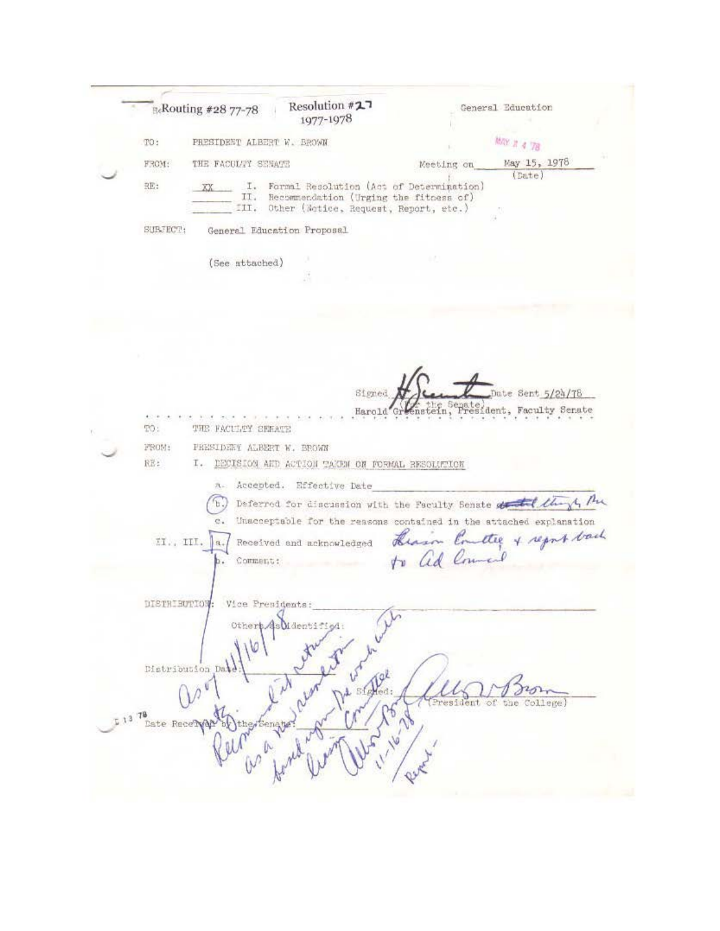Resolution #27 **ReRouting #28 77-78** General Education 1977-1978 MAY # 4 78 PRESIDENT ALBERT W. BROWN TO: May 15, 1978 THE FACULTY SENATE FROM: Meeting on (Date) RE: I. Formal Resolution (Act of Determination) XX II. Recommendation (Urging the fitness of) III. Other (Notice, Request, Report, etc.) SUBJECT: General Education Proposal (See attached) Signed Date Sent 5/24/78 enstein, sident, Faculty Senate Harold Gr TO: THE FACULTY SERATE FROM: PRESIDENT ALBERT W. BROWN RE: I. DECISION AND ACTION TAKEN ON FORMAL RESOLUTION A. Accepted. Effective Date (b.) Deferred for discussion with the Faculty Senate of the 14 Pm Unacceptable for the reasons contained in the attached explanation  $\mathbf{c}$  . Hearin Emetter of regnt back  $II.$ , III.  $|a.|$ Received and acknowledged Comment: DISTRIBUTION: Vice Presidents: Mden Distribution Da stelled: President of the College) ste Recervary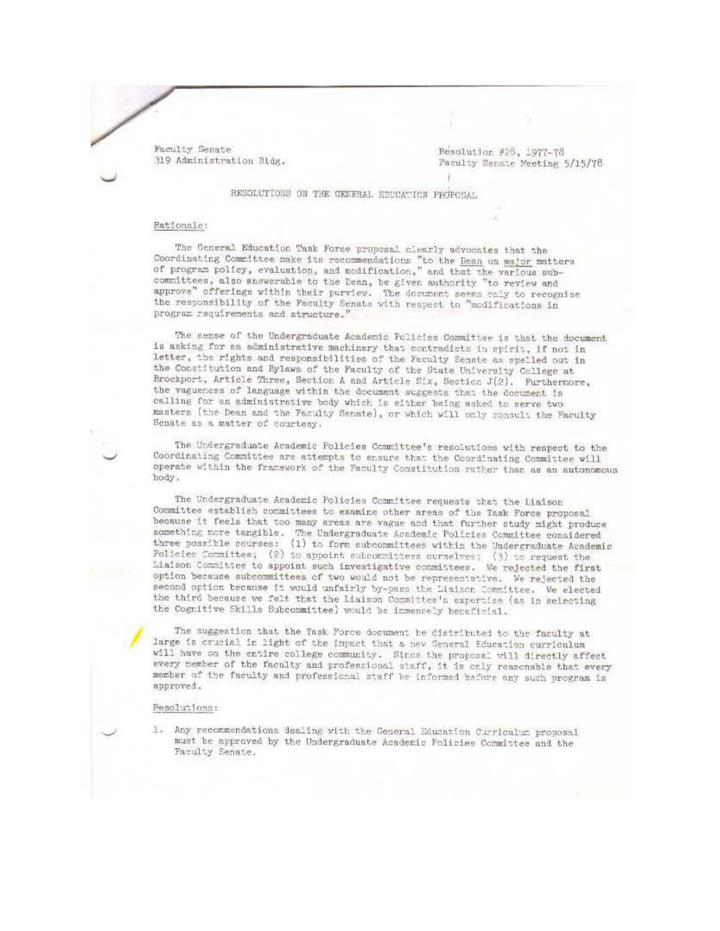Faculty Senate 319 Administration Bldg.

Resolution #23, 1977-78 Faculty Senate Meeting 5/15/78

RESOLUTIONS ON THE GENERAL EDUCATION PROPOSAL

## Rationale:

The General Education Task Force proposal clearly advocates that the<br>Coordinating Committee make its recommendations "to the <u>Dean</u> on major matters<br>of program policy, evaluation, and modification," and that the various su committees, also answerable to the Dean, be given authority "to review and approve" offerings within their purview. The document seems only to recognize the responsibility of the Faculty Senate with respect to "modifications in program requirements and structure."

The sense of the Undergraduate Academic Policies Committee is that the document is asking for an administrative machinery that contradicts in spirit, if not in letter, the rights and responsibilities of the Faculty Senate as spelled out in the Constitution and Bylaws of the Faculty of the State University College at Brockport, Article Three, Section A and Article Six, Section J(2). Furthermore, the vagueness of language within the document suggests that the document is calling for an administrative body which is either being asked to serve two masters (the Dean and the Faculty Senate), or which will only consult the Faculty Senate as a matter of courtesy.

The Undergraduate Academic Policies Committee's resolutions with respect to the Coordinating Committee are attempts to ensure that the Coordinating Committee will operate within the framework of the Faculty Constitution rather than as an autonomous body.

The Undergraduate Academic Policies Committee requests that the Liaison Committee establish committees to examine other areas of the Task Force proposal because it feels that too many areas are vague and that further study might produce something more tangible. The Undergraduate Academic Policies Committee considered three possible courses: (1) to form subcommittees within the Undergraduate Academic Policies Committee; (2) to appoint subcommittees ourselves; (3) to request the Liaison Committee to appoint such investigative committees. We rejected the first option because subcommittees of two would not be representative. We rejected the second option because it would unfairly by-pass the Liaison Committee. We elected the third because we felt that the Liaison Committee's expertise (as in selecting the Cognitive Skills Subcommittee) would be immensely beneficial.

The suggestion that the Task Force document be distributed to the faculty at large is crucial in light of the impact that a new General Education curriculum will have on the entire college community. Since the proposal will directly affect every member of the faculty and professional staff, it is only reasonable that every member of the faculty and professional staff be informed before any such program is approved.

## **Resolutions:**

1. Any recommendations dealing with the General Education Curriculum proposal must be approved by the Undergraduate Academic Policies Committee and the Faculty Senate.